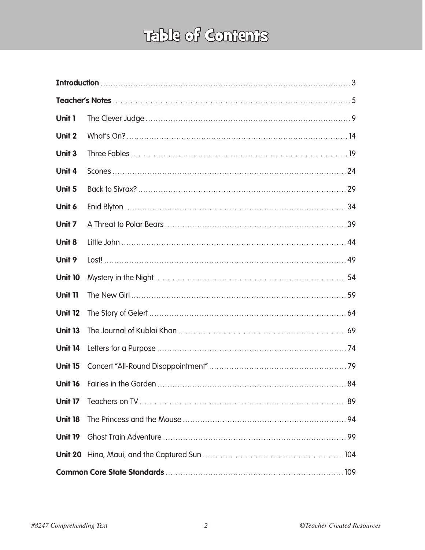## Table of Contents

| Unit 1         |  |  |
|----------------|--|--|
| Unit 2         |  |  |
| Unit 3         |  |  |
| Unit 4         |  |  |
| Unit 5         |  |  |
| Unit 6         |  |  |
| Unit 7         |  |  |
| Unit 8         |  |  |
| Unit 9         |  |  |
| <b>Unit 10</b> |  |  |
| <b>Unit 11</b> |  |  |
| <b>Unit 12</b> |  |  |
| <b>Unit 13</b> |  |  |
| <b>Unit 14</b> |  |  |
| <b>Unit 15</b> |  |  |
| <b>Unit 16</b> |  |  |
| <b>Unit 17</b> |  |  |
| <b>Unit 18</b> |  |  |
| <b>Unit 19</b> |  |  |
| Unit 20        |  |  |
|                |  |  |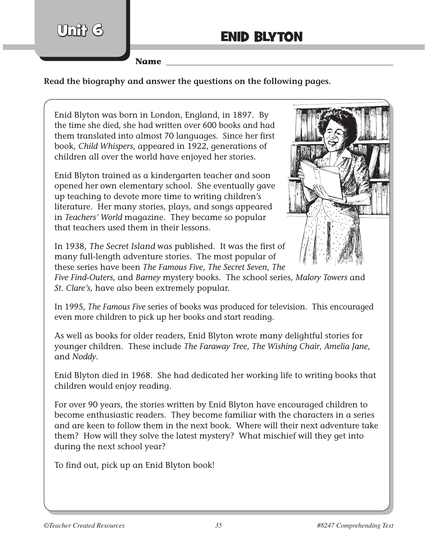Um**i**i (ร

**Name**

**Read the biography and answer the questions on the following pages.**

Enid Blyton was born in London, England, in 1897. By the time she died, she had written over 600 books and had them translated into almost 70 languages. Since her first book, *Child Whispers*, appeared in 1922, generations of children all over the world have enjoyed her stories.

Enid Blyton trained as a kindergarten teacher and soon opened her own elementary school. She eventually gave up teaching to devote more time to writing children's literature. Her many stories, plays, and songs appeared in *Teachers' World* magazine. They became so popular that teachers used them in their lessons.



In 1938, The Secret Island was published. It was the first of many full-length adventure stories. The most popular of these series have been *The Famous Five*, *The Secret Seven*, *The* 

*Five Find‑Outers*, and *Barney* mystery books. The school series, *Malory Towers* and *St. Clare's*, have also been extremely popular.

In 1995, *The Famous Five* series of books was produced for television. This encouraged even more children to pick up her books and start reading.

As well as books for older readers, Enid Blyton wrote many delightful stories for younger children. These include *The Faraway Tree*, *The Wishing Chair*, *Amelia Jane*, and *Noddy*.

Enid Blyton died in 1968. She had dedicated her working life to writing books that children would enjoy reading.

For over 90 years, the stories written by Enid Blyton have encouraged children to become enthusiastic readers. They become familiar with the characters in a series and are keen to follow them in the next book. Where will their next adventure take them? How will they solve the latest mystery? What mischief will they get into during the next school year?

To find out, pick up an Enid Blyton book!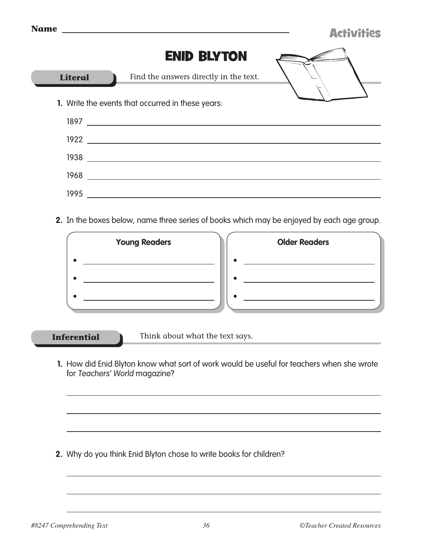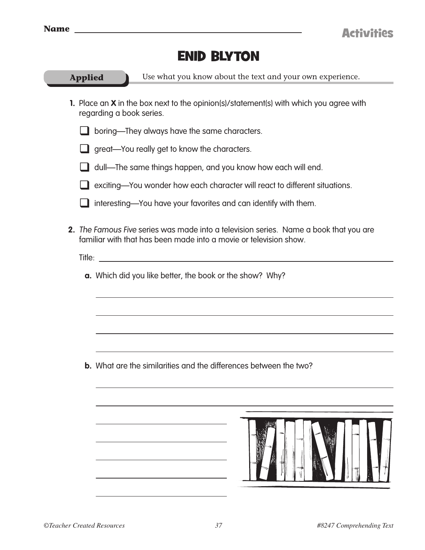

ſ

## Enid Blyton

| <b>Applied</b>                                                  | Use what you know about the text and your own experience.                                                                                                                                                             |  |  |  |  |
|-----------------------------------------------------------------|-----------------------------------------------------------------------------------------------------------------------------------------------------------------------------------------------------------------------|--|--|--|--|
|                                                                 | 1. Place an <b>X</b> in the box next to the opinion(s)/statement(s) with which you agree with<br>regarding a book series.                                                                                             |  |  |  |  |
|                                                                 | boring—They always have the same characters.                                                                                                                                                                          |  |  |  |  |
|                                                                 | $\Box$ great—You really get to know the characters.                                                                                                                                                                   |  |  |  |  |
|                                                                 | dull—The same things happen, and you know how each will end.                                                                                                                                                          |  |  |  |  |
|                                                                 | exciting-You wonder how each character will react to different situations.                                                                                                                                            |  |  |  |  |
|                                                                 | interesting—You have your favorites and can identify with them.                                                                                                                                                       |  |  |  |  |
| Title:                                                          | 2. The Famous Five series was made into a television series. Name a book that you are<br>familiar with that has been made into a movie or television show.<br><u> 1980 - Jan Barbara, martxa al II-lea (h. 1980).</u> |  |  |  |  |
| <b>a.</b> Which did you like better, the book or the show? Why? |                                                                                                                                                                                                                       |  |  |  |  |
|                                                                 | <b>b.</b> What are the similarities and the differences between the two?                                                                                                                                              |  |  |  |  |
|                                                                 |                                                                                                                                                                                                                       |  |  |  |  |